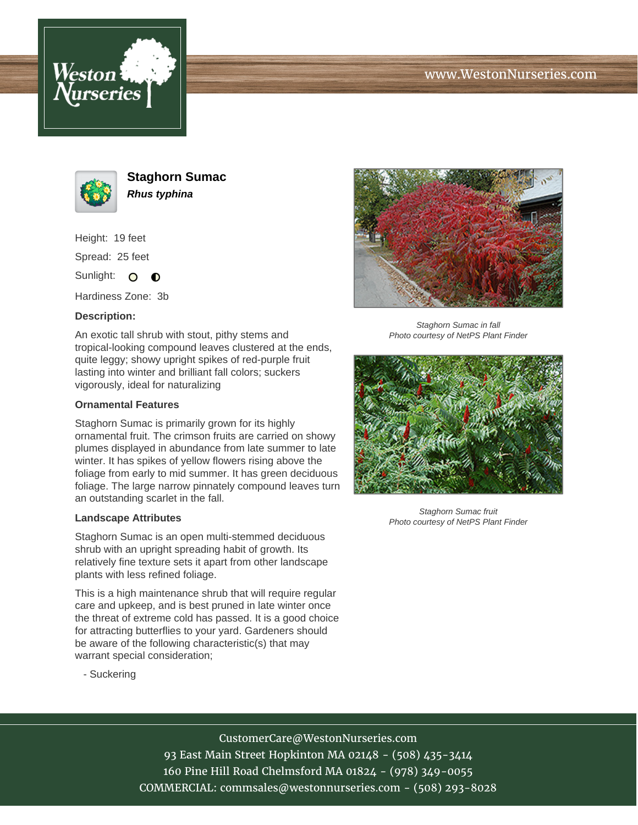



**Staghorn Sumac Rhus typhina**

Height: 19 feet

Spread: 25 feet

Sunlight: O  $\bullet$ 

Hardiness Zone: 3b

## **Description:**

An exotic tall shrub with stout, pithy stems and tropical-looking compound leaves clustered at the ends, quite leggy; showy upright spikes of red-purple fruit lasting into winter and brilliant fall colors; suckers vigorously, ideal for naturalizing

#### **Ornamental Features**

Staghorn Sumac is primarily grown for its highly ornamental fruit. The crimson fruits are carried on showy plumes displayed in abundance from late summer to late winter. It has spikes of yellow flowers rising above the foliage from early to mid summer. It has green deciduous foliage. The large narrow pinnately compound leaves turn an outstanding scarlet in the fall.

#### **Landscape Attributes**

Staghorn Sumac is an open multi-stemmed deciduous shrub with an upright spreading habit of growth. Its relatively fine texture sets it apart from other landscape plants with less refined foliage.

This is a high maintenance shrub that will require regular care and upkeep, and is best pruned in late winter once the threat of extreme cold has passed. It is a good choice for attracting butterflies to your yard. Gardeners should be aware of the following characteristic(s) that may warrant special consideration;





Staghorn Sumac in fall Photo courtesy of NetPS Plant Finder



Staghorn Sumac fruit Photo courtesy of NetPS Plant Finder

# CustomerCare@WestonNurseries.com

93 East Main Street Hopkinton MA 02148 - (508) 435-3414 160 Pine Hill Road Chelmsford MA 01824 - (978) 349-0055 COMMERCIAL: commsales@westonnurseries.com - (508) 293-8028